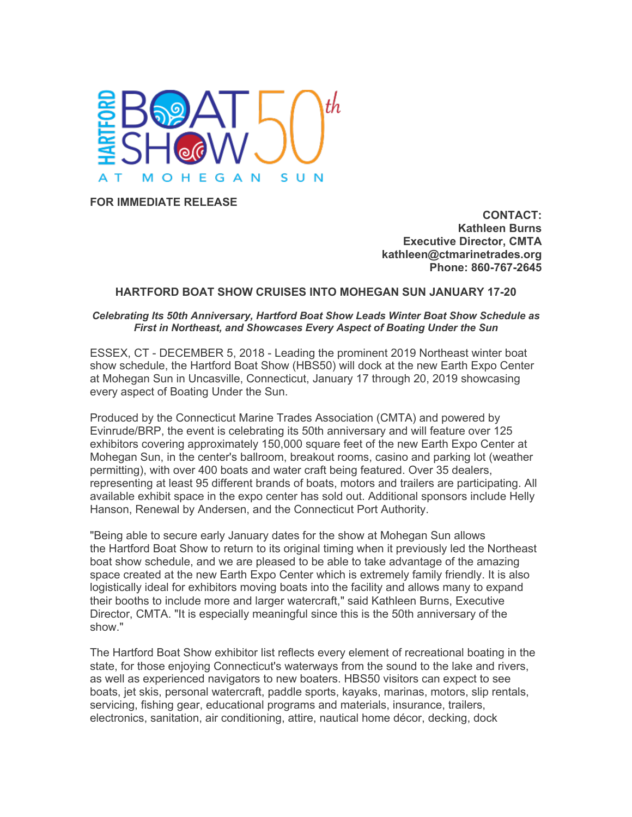

**FOR IMMEDIATE RELEASE**

**CONTACT: Kathleen Burns Executive Director, CMTA kathleen@ctmarinetrades.org Phone: 860-767-2645**

## **HARTFORD BOAT SHOW CRUISES INTO MOHEGAN SUN JANUARY 17-20**

## *Celebrating Its 50th Anniversary, Hartford Boat Show Leads Winter Boat Show Schedule as First in Northeast, and Showcases Every Aspect of Boating Under the Sun*

ESSEX, CT - DECEMBER 5, 2018 - Leading the prominent 2019 Northeast winter boat show schedule, the Hartford Boat Show (HBS50) will dock at the new Earth Expo Center at Mohegan Sun in Uncasville, Connecticut, January 17 through 20, 2019 showcasing every aspect of Boating Under the Sun.

Produced by the Connecticut Marine Trades Association (CMTA) and powered by Evinrude/BRP, the event is celebrating its 50th anniversary and will feature over 125 exhibitors covering approximately 150,000 square feet of the new Earth Expo Center at Mohegan Sun, in the center's ballroom, breakout rooms, casino and parking lot (weather permitting), with over 400 boats and water craft being featured. Over 35 dealers, representing at least 95 different brands of boats, motors and trailers are participating. All available exhibit space in the expo center has sold out. Additional sponsors include Helly Hanson, Renewal by Andersen, and the Connecticut Port Authority.

"Being able to secure early January dates for the show at Mohegan Sun allows the Hartford Boat Show to return to its original timing when it previously led the Northeast boat show schedule, and we are pleased to be able to take advantage of the amazing space created at the new Earth Expo Center which is extremely family friendly. It is also logistically ideal for exhibitors moving boats into the facility and allows many to expand their booths to include more and larger watercraft," said Kathleen Burns, Executive Director, CMTA. "It is especially meaningful since this is the 50th anniversary of the show."

The Hartford Boat Show exhibitor list reflects every element of recreational boating in the state, for those enjoying Connecticut's waterways from the sound to the lake and rivers, as well as experienced navigators to new boaters. HBS50 visitors can expect to see boats, jet skis, personal watercraft, paddle sports, kayaks, marinas, motors, slip rentals, servicing, fishing gear, educational programs and materials, insurance, trailers, electronics, sanitation, air conditioning, attire, nautical home décor, decking, dock